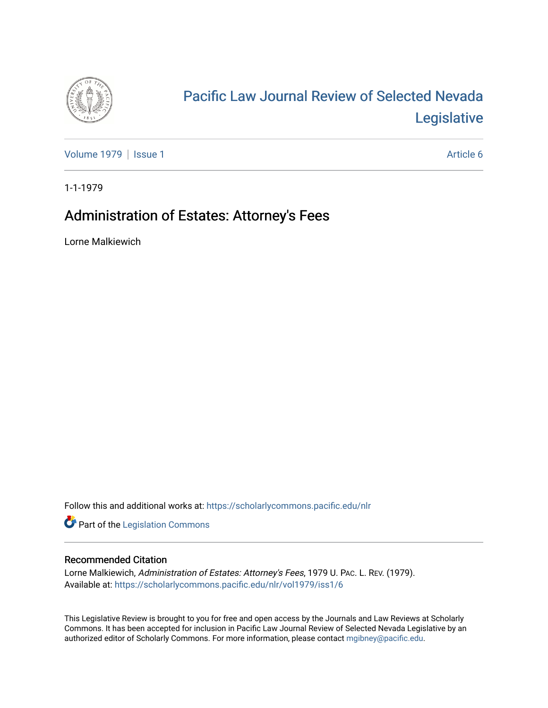

# [Pacific Law Journal Review of Selected Nevada](https://scholarlycommons.pacific.edu/nlr)  [Legislative](https://scholarlycommons.pacific.edu/nlr)

[Volume 1979](https://scholarlycommons.pacific.edu/nlr/vol1979) | [Issue 1](https://scholarlycommons.pacific.edu/nlr/vol1979/iss1) Article 6

1-1-1979

## Administration of Estates: Attorney's Fees

Lorne Malkiewich

Follow this and additional works at: [https://scholarlycommons.pacific.edu/nlr](https://scholarlycommons.pacific.edu/nlr?utm_source=scholarlycommons.pacific.edu%2Fnlr%2Fvol1979%2Fiss1%2F6&utm_medium=PDF&utm_campaign=PDFCoverPages) 

**Part of the [Legislation Commons](http://network.bepress.com/hgg/discipline/859?utm_source=scholarlycommons.pacific.edu%2Fnlr%2Fvol1979%2Fiss1%2F6&utm_medium=PDF&utm_campaign=PDFCoverPages)** 

### Recommended Citation

Lorne Malkiewich, Administration of Estates: Attorney's Fees, 1979 U. PAC. L. REV. (1979). Available at: [https://scholarlycommons.pacific.edu/nlr/vol1979/iss1/6](https://scholarlycommons.pacific.edu/nlr/vol1979/iss1/6?utm_source=scholarlycommons.pacific.edu%2Fnlr%2Fvol1979%2Fiss1%2F6&utm_medium=PDF&utm_campaign=PDFCoverPages) 

This Legislative Review is brought to you for free and open access by the Journals and Law Reviews at Scholarly Commons. It has been accepted for inclusion in Pacific Law Journal Review of Selected Nevada Legislative by an authorized editor of Scholarly Commons. For more information, please contact [mgibney@pacific.edu](mailto:mgibney@pacific.edu).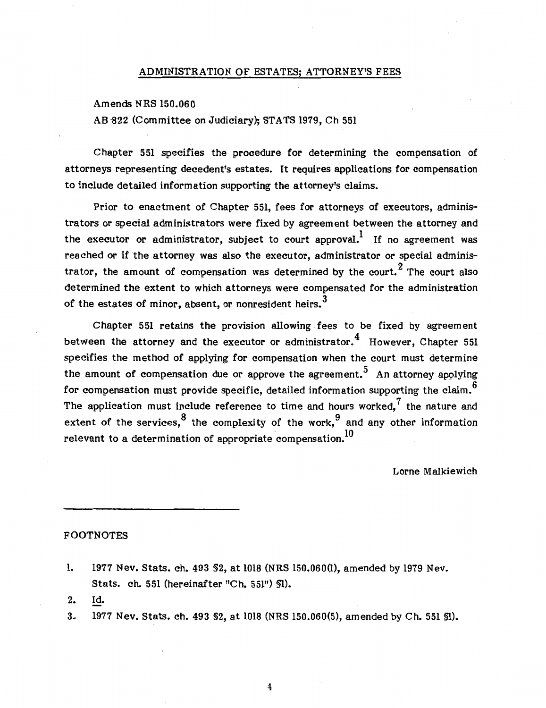#### ADMINISTRATION OF ESTATES; ATTORNEY'S FEES

Amends NRS 150.060

AB -822 (Committee on Judiciary); STATS 1979, Ch 551

Chapter 551 specifies the procedure for determining the compensation of attorneys representing decedent's estates. It requires applications for compensation to include detailed information supporting the attorney's claims.

Prior to enactment of Chapter 551, fees for attorneys of executors, administrators or special administrators were fixed by agreement between the attorney and the executor or administrator, subject to court approval.<sup>1</sup> If no agreement was reached or if the attorney was also the executor, administrator or special administrator, the amount of compensation was determined by the court.<sup>2</sup> The court also determined the extent to which attorneys were compensated for the administration of the estates of minor, absent, or nonresident heirs.<sup>3</sup>

Chapter 551 retains the provision allowing. fees to be fixed by agreement between the attorney and the executor or administrator.  $4\overline{4}$  However, Chapter 551 specifies the method of applying for compensation when the court must determine the amount of compensation due or approve the agreement.<sup>5</sup> An attorney applying for compensation must provide specific, detailed information supporting the claim.<sup>6</sup> The application must include reference to time and hours worked, $<sup>7</sup>$  the nature and</sup> extent of the services.<sup>8</sup> the complexity of the work,  $9$  and any other information relevant to a determination of appropriate compensation.<sup>10</sup>

Lorne Malkiewich

#### FOOTNOTES

- 1. 1977 Nev. Stats. ch. 493 §2, at 1018 (NRS 150.060(1), amended by 1979 Nev. Stats. ch. 551 (hereinafter "Ch. 551") §1).
- 2. ld.
- 3. 1977 Nev. Stats. ch. 493 §2, at 1018 (NRS 150.060(5), amended by Ch. 551 §1).

4